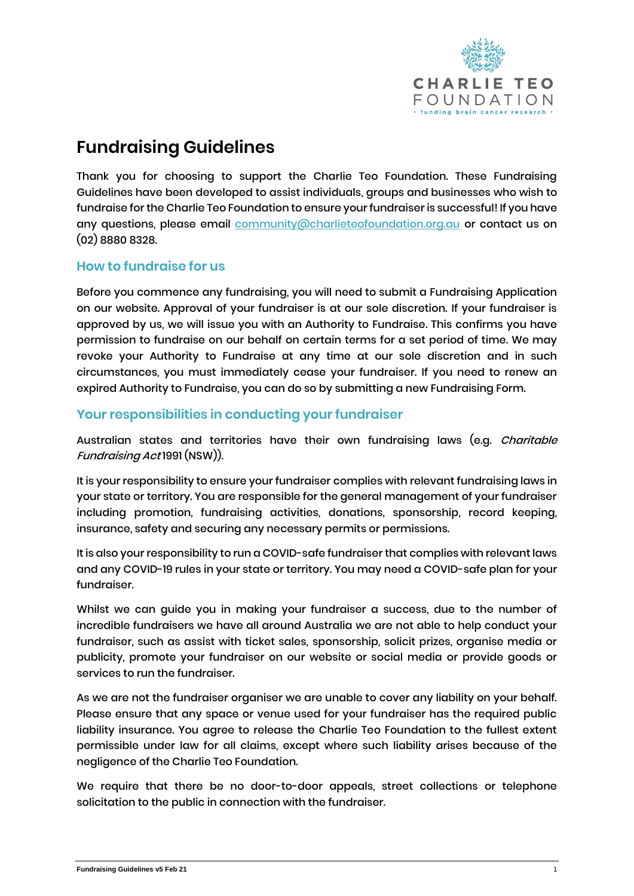

# **Fundraising Guidelines**

Thank you for choosing to support the Charlie Teo Foundation. These Fundraising Guidelines have been developed to assist individuals, groups and businesses who wish to fundraise for the Charlie Teo Foundation to ensure your fundraiser is successful! If you have any questions, please email **community@charlieteofoundation.org.au** or contact us on (02) 8880 8328.

#### **How to fundraise for us**

Before you commence any fundraising, you will need to submit a Fundraising Application on our website. Approval of your fundraiser is at our sole discretion. If your fundraiser is approved by us, we will issue you with an Authority to Fundraise. This confirms you have permission to fundraise on our behalf on certain terms for a set period of time. We may revoke your Authority to Fundraise at any time at our sole discretion and in such circumstances, you must immediately cease your fundraiser. If you need to renew an expired Authority to Fundraise, you can do so by submitting a new Fundraising Form.

#### **Your responsibilities in conducting your fundraiser**

Australian states and territories have their own fundraising laws (e.g. *Charitable* Fundraising Act 1991 (NSW)).

It is your responsibility to ensure your fundraiser complies with relevant fundraising laws in your state or territory. You are responsible for the general management of your fundraiser including promotion, fundraising activities, donations, sponsorship, record keeping, insurance, safety and securing any necessary permits or permissions.

It is also your responsibility to run a COVID-safe fundraiser that complies with relevant laws and any COVID-19 rules in your state or territory. You may need a COVID-safe plan for your fundraiser.

Whilst we can guide you in making your fundraiser a success, due to the number of incredible fundraisers we have all around Australia we are not able to help conduct your fundraiser, such as assist with ticket sales, sponsorship, solicit prizes, organise media or publicity, promote your fundraiser on our website or social media or provide goods or services to run the fundraiser.

As we are not the fundraiser organiser we are unable to cover any liability on your behalf. Please ensure that any space or venue used for your fundraiser has the required public liability insurance. You agree to release the Charlie Teo Foundation to the fullest extent permissible under law for all claims, except where such liability arises because of the negligence of the Charlie Teo Foundation.

We require that there be no door-to-door appeals, street collections or telephone solicitation to the public in connection with the fundraiser.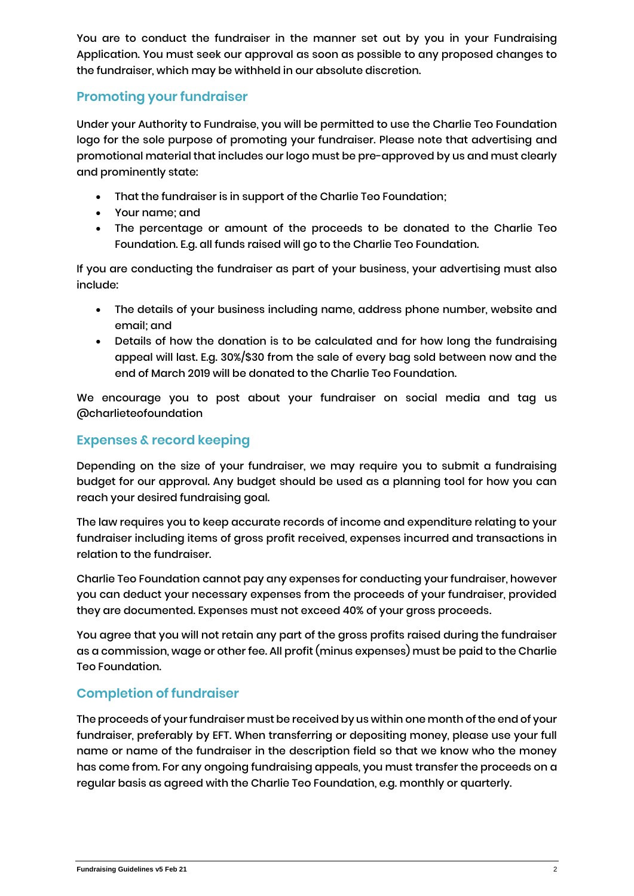You are to conduct the fundraiser in the manner set out by you in your Fundraising Application. You must seek our approval as soon as possible to any proposed changes to the fundraiser, which may be withheld in our absolute discretion.

# **Promoting your fundraiser**

Under your Authority to Fundraise, you will be permitted to use the Charlie Teo Foundation logo for the sole purpose of promoting your fundraiser. Please note that advertising and promotional material that includes our logo must be pre-approved by us and must clearly and prominently state:

- That the fundraiser is in support of the Charlie Teo Foundation;
- Your name; and
- The percentage or amount of the proceeds to be donated to the Charlie Teo Foundation. E.g. all funds raised will go to the Charlie Teo Foundation.

If you are conducting the fundraiser as part of your business, your advertising must also include:

- The details of your business including name, address phone number, website and email; and
- Details of how the donation is to be calculated and for how long the fundraising appeal will last. E.g. 30%/\$30 from the sale of every bag sold between now and the end of March 2019 will be donated to the Charlie Teo Foundation.

We encourage you to post about your fundraiser on social media and tag us @charlieteofoundation

## **Expenses & record keeping**

Depending on the size of your fundraiser, we may require you to submit a fundraising budget for our approval. Any budget should be used as a planning tool for how you can reach your desired fundraising goal.

The law requires you to keep accurate records of income and expenditure relating to your fundraiser including items of gross profit received, expenses incurred and transactions in relation to the fundraiser.

Charlie Teo Foundation cannot pay any expenses for conducting your fundraiser, however you can deduct your necessary expenses from the proceeds of your fundraiser, provided they are documented. Expenses must not exceed 40% of your gross proceeds.

You agree that you will not retain any part of the gross profits raised during the fundraiser as a commission, wage or other fee. All profit (minus expenses) must be paid to the Charlie Teo Foundation.

## **Completion of fundraiser**

The proceeds of your fundraiser must be received by us within one month of the end of your fundraiser, preferably by EFT. When transferring or depositing money, please use your full name or name of the fundraiser in the description field so that we know who the money has come from. For any ongoing fundraising appeals, you must transfer the proceeds on a regular basis as agreed with the Charlie Teo Foundation, e.g. monthly or quarterly.